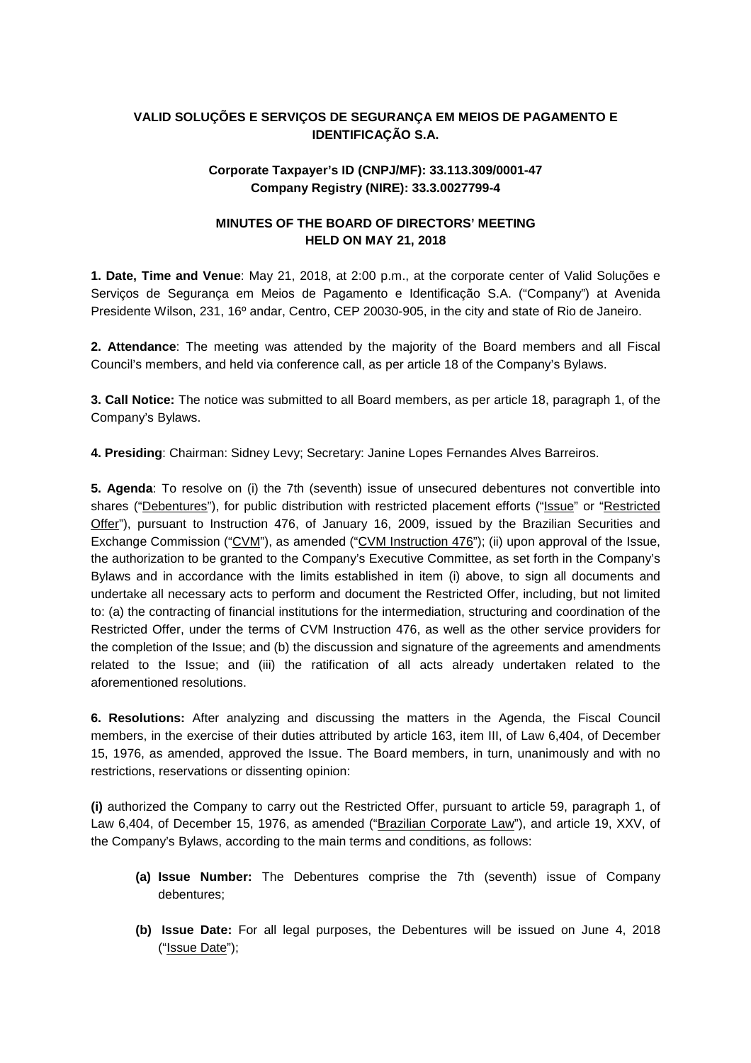## **VALID SOLUÇÕES E SERVIÇOS DE SEGURANÇA EM MEIOS DE PAGAMENTO E IDENTIFICAÇÃO S.A.**

## **Corporate Taxpayer's ID (CNPJ/MF): 33.113.309/0001-47 Company Registry (NIRE): 33.3.0027799-4**

## **MINUTES OF THE BOARD OF DIRECTORS' MEETING HELD ON MAY 21, 2018**

**1. Date, Time and Venue**: May 21, 2018, at 2:00 p.m., at the corporate center of Valid Soluções e Serviços de Segurança em Meios de Pagamento e Identificação S.A. ("Company") at Avenida Presidente Wilson, 231, 16º andar, Centro, CEP 20030-905, in the city and state of Rio de Janeiro.

**2. Attendance**: The meeting was attended by the majority of the Board members and all Fiscal Council's members, and held via conference call, as per article 18 of the Company's Bylaws.

**3. Call Notice:** The notice was submitted to all Board members, as per article 18, paragraph 1, of the Company's Bylaws.

**4. Presiding**: Chairman: Sidney Levy; Secretary: Janine Lopes Fernandes Alves Barreiros.

**5. Agenda**: To resolve on (i) the 7th (seventh) issue of unsecured debentures not convertible into shares ("Debentures"), for public distribution with restricted placement efforts ("Issue" or "Restricted Offer"), pursuant to Instruction 476, of January 16, 2009, issued by the Brazilian Securities and Exchange Commission ("CVM"), as amended ("CVM Instruction 476"); (ii) upon approval of the Issue, the authorization to be granted to the Company's Executive Committee, as set forth in the Company's Bylaws and in accordance with the limits established in item (i) above, to sign all documents and undertake all necessary acts to perform and document the Restricted Offer, including, but not limited to: (a) the contracting of financial institutions for the intermediation, structuring and coordination of the Restricted Offer, under the terms of CVM Instruction 476, as well as the other service providers for the completion of the Issue; and (b) the discussion and signature of the agreements and amendments related to the Issue; and (iii) the ratification of all acts already undertaken related to the aforementioned resolutions.

**6. Resolutions:** After analyzing and discussing the matters in the Agenda, the Fiscal Council members, in the exercise of their duties attributed by article 163, item III, of Law 6,404, of December 15, 1976, as amended, approved the Issue. The Board members, in turn, unanimously and with no restrictions, reservations or dissenting opinion:

**(i)** authorized the Company to carry out the Restricted Offer, pursuant to article 59, paragraph 1, of Law 6,404, of December 15, 1976, as amended ("Brazilian Corporate Law"), and article 19, XXV, of the Company's Bylaws, according to the main terms and conditions, as follows:

- **(a) Issue Number:** The Debentures comprise the 7th (seventh) issue of Company debentures;
- **(b) Issue Date:** For all legal purposes, the Debentures will be issued on June 4, 2018 ("Issue Date");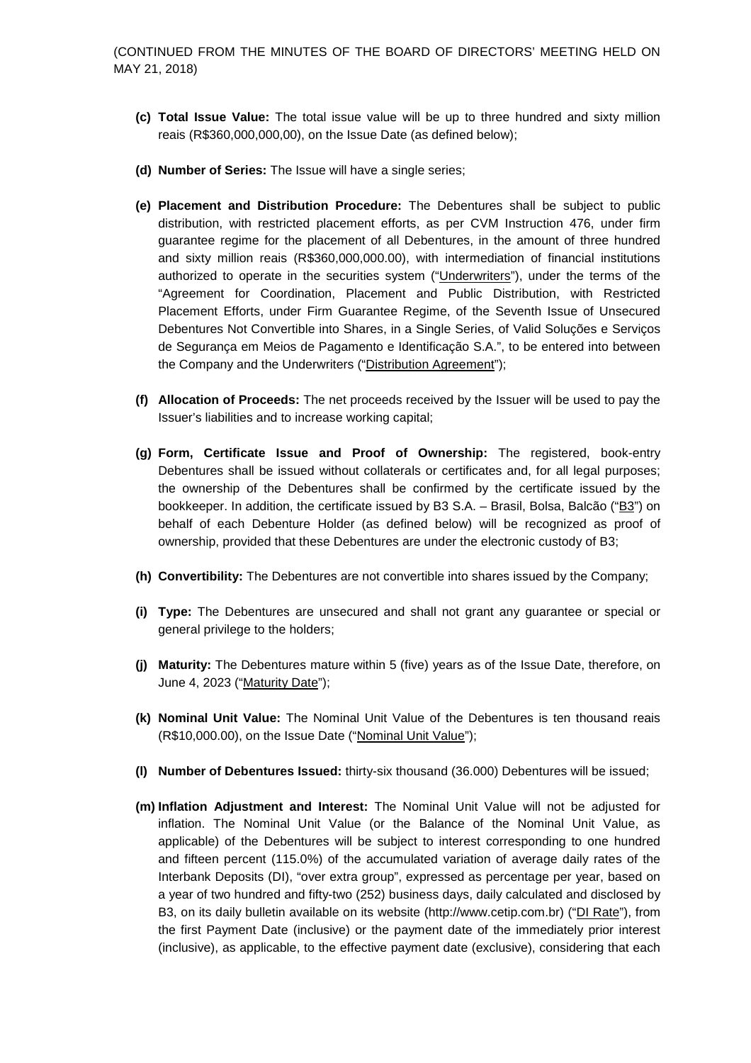- **(c) Total Issue Value:** The total issue value will be up to three hundred and sixty million reais (R\$360,000,000,00), on the Issue Date (as defined below);
- **(d) Number of Series:** The Issue will have a single series;
- **(e) Placement and Distribution Procedure:** The Debentures shall be subject to public distribution, with restricted placement efforts, as per CVM Instruction 476, under firm guarantee regime for the placement of all Debentures, in the amount of three hundred and sixty million reais (R\$360,000,000.00), with intermediation of financial institutions authorized to operate in the securities system ("Underwriters"), under the terms of the "Agreement for Coordination, Placement and Public Distribution, with Restricted Placement Efforts, under Firm Guarantee Regime, of the Seventh Issue of Unsecured Debentures Not Convertible into Shares, in a Single Series, of Valid Soluções e Serviços de Segurança em Meios de Pagamento e Identificação S.A.", to be entered into between the Company and the Underwriters ("Distribution Agreement");
- **(f) Allocation of Proceeds:** The net proceeds received by the Issuer will be used to pay the Issuer's liabilities and to increase working capital;
- **(g) Form, Certificate Issue and Proof of Ownership:** The registered, book-entry Debentures shall be issued without collaterals or certificates and, for all legal purposes; the ownership of the Debentures shall be confirmed by the certificate issued by the bookkeeper. In addition, the certificate issued by B3 S.A. – Brasil, Bolsa, Balcão ("B3") on behalf of each Debenture Holder (as defined below) will be recognized as proof of ownership, provided that these Debentures are under the electronic custody of B3;
- **(h) Convertibility:** The Debentures are not convertible into shares issued by the Company;
- **(i) Type:** The Debentures are unsecured and shall not grant any guarantee or special or general privilege to the holders;
- **(j) Maturity:** The Debentures mature within 5 (five) years as of the Issue Date, therefore, on June 4, 2023 ("Maturity Date");
- **(k) Nominal Unit Value:** The Nominal Unit Value of the Debentures is ten thousand reais (R\$10,000.00), on the Issue Date ("Nominal Unit Value");
- **(l) Number of Debentures Issued:** thirty-six thousand (36.000) Debentures will be issued;
- **(m) Inflation Adjustment and Interest:** The Nominal Unit Value will not be adjusted for inflation. The Nominal Unit Value (or the Balance of the Nominal Unit Value, as applicable) of the Debentures will be subject to interest corresponding to one hundred and fifteen percent (115.0%) of the accumulated variation of average daily rates of the Interbank Deposits (DI), "over extra group", expressed as percentage per year, based on a year of two hundred and fifty-two (252) business days, daily calculated and disclosed by B3, on its daily bulletin available on its website (http://www.cetip.com.br) ("DI Rate"), from the first Payment Date (inclusive) or the payment date of the immediately prior interest (inclusive), as applicable, to the effective payment date (exclusive), considering that each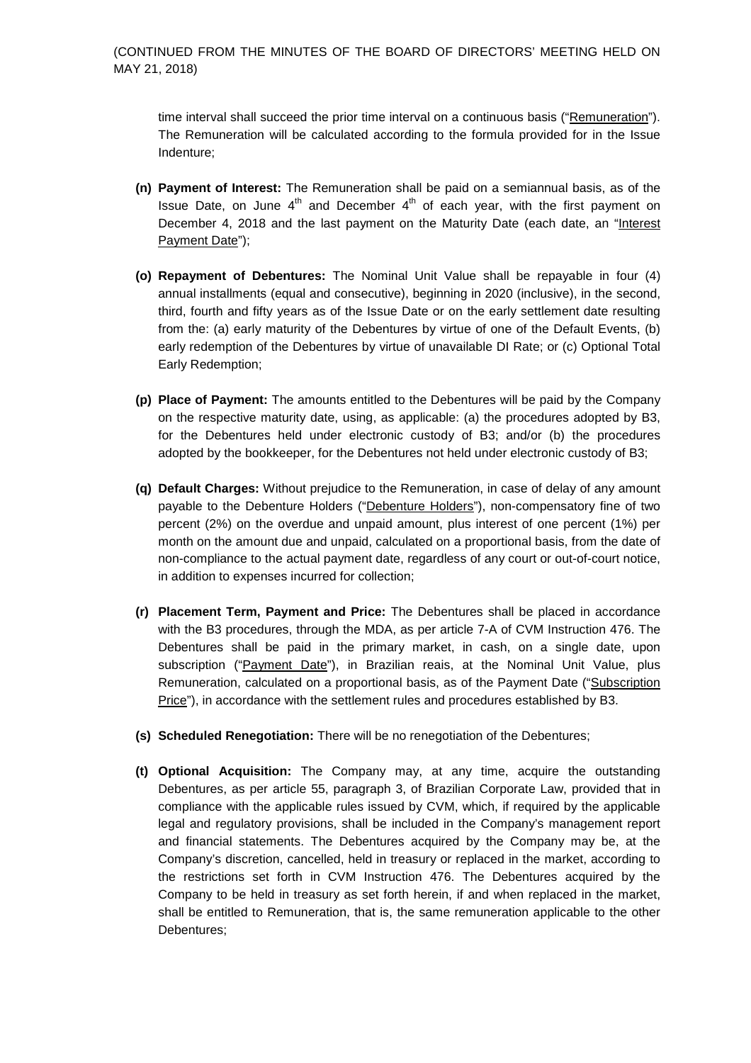time interval shall succeed the prior time interval on a continuous basis ("Remuneration"). The Remuneration will be calculated according to the formula provided for in the Issue Indenture;

- **(n) Payment of Interest:** The Remuneration shall be paid on a semiannual basis, as of the Issue Date, on June  $4<sup>th</sup>$  and December  $4<sup>th</sup>$  of each year, with the first payment on December 4, 2018 and the last payment on the Maturity Date (each date, an "Interest Payment Date");
- **(o) Repayment of Debentures:** The Nominal Unit Value shall be repayable in four (4) annual installments (equal and consecutive), beginning in 2020 (inclusive), in the second, third, fourth and fifty years as of the Issue Date or on the early settlement date resulting from the: (a) early maturity of the Debentures by virtue of one of the Default Events, (b) early redemption of the Debentures by virtue of unavailable DI Rate; or (c) Optional Total Early Redemption;
- **(p) Place of Payment:** The amounts entitled to the Debentures will be paid by the Company on the respective maturity date, using, as applicable: (a) the procedures adopted by B3, for the Debentures held under electronic custody of B3; and/or (b) the procedures adopted by the bookkeeper, for the Debentures not held under electronic custody of B3;
- **(q) Default Charges:** Without prejudice to the Remuneration, in case of delay of any amount payable to the Debenture Holders ("Debenture Holders"), non-compensatory fine of two percent (2%) on the overdue and unpaid amount, plus interest of one percent (1%) per month on the amount due and unpaid, calculated on a proportional basis, from the date of non-compliance to the actual payment date, regardless of any court or out-of-court notice, in addition to expenses incurred for collection;
- **(r) Placement Term, Payment and Price:** The Debentures shall be placed in accordance with the B3 procedures, through the MDA, as per article 7-A of CVM Instruction 476. The Debentures shall be paid in the primary market, in cash, on a single date, upon subscription ("Payment Date"), in Brazilian reais, at the Nominal Unit Value, plus Remuneration, calculated on a proportional basis, as of the Payment Date ("Subscription Price"), in accordance with the settlement rules and procedures established by B3.
- **(s) Scheduled Renegotiation:** There will be no renegotiation of the Debentures;
- **(t) Optional Acquisition:** The Company may, at any time, acquire the outstanding Debentures, as per article 55, paragraph 3, of Brazilian Corporate Law, provided that in compliance with the applicable rules issued by CVM, which, if required by the applicable legal and regulatory provisions, shall be included in the Company's management report and financial statements. The Debentures acquired by the Company may be, at the Company's discretion, cancelled, held in treasury or replaced in the market, according to the restrictions set forth in CVM Instruction 476. The Debentures acquired by the Company to be held in treasury as set forth herein, if and when replaced in the market, shall be entitled to Remuneration, that is, the same remuneration applicable to the other Debentures;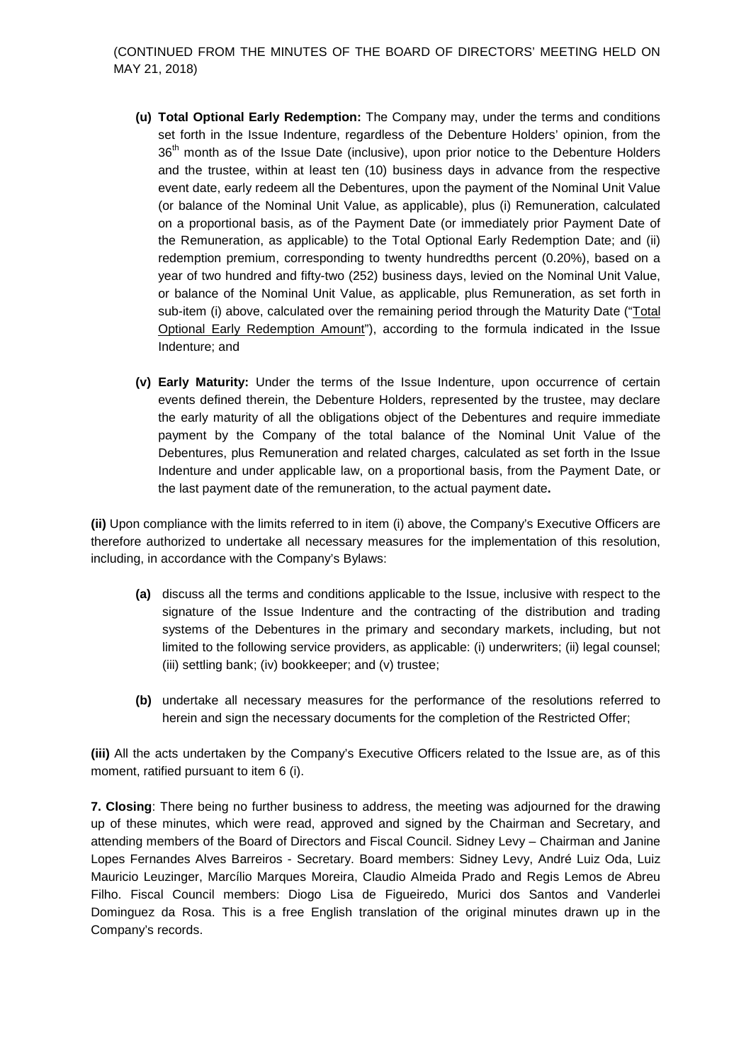(CONTINUED FROM THE MINUTES OF THE BOARD OF DIRECTORS' MEETING HELD ON MAY 21, 2018)

- **(u) Total Optional Early Redemption:** The Company may, under the terms and conditions set forth in the Issue Indenture, regardless of the Debenture Holders' opinion, from the 36<sup>th</sup> month as of the Issue Date (inclusive), upon prior notice to the Debenture Holders and the trustee, within at least ten (10) business days in advance from the respective event date, early redeem all the Debentures, upon the payment of the Nominal Unit Value (or balance of the Nominal Unit Value, as applicable), plus (i) Remuneration, calculated on a proportional basis, as of the Payment Date (or immediately prior Payment Date of the Remuneration, as applicable) to the Total Optional Early Redemption Date; and (ii) redemption premium, corresponding to twenty hundredths percent (0.20%), based on a year of two hundred and fifty-two (252) business days, levied on the Nominal Unit Value, or balance of the Nominal Unit Value, as applicable, plus Remuneration, as set forth in sub-item (i) above, calculated over the remaining period through the Maturity Date ("Total Optional Early Redemption Amount"), according to the formula indicated in the Issue Indenture; and
- **(v) Early Maturity:** Under the terms of the Issue Indenture, upon occurrence of certain events defined therein, the Debenture Holders, represented by the trustee, may declare the early maturity of all the obligations object of the Debentures and require immediate payment by the Company of the total balance of the Nominal Unit Value of the Debentures, plus Remuneration and related charges, calculated as set forth in the Issue Indenture and under applicable law, on a proportional basis, from the Payment Date, or the last payment date of the remuneration, to the actual payment date**.**

**(ii)** Upon compliance with the limits referred to in item (i) above, the Company's Executive Officers are therefore authorized to undertake all necessary measures for the implementation of this resolution, including, in accordance with the Company's Bylaws:

- **(a)** discuss all the terms and conditions applicable to the Issue, inclusive with respect to the signature of the Issue Indenture and the contracting of the distribution and trading systems of the Debentures in the primary and secondary markets, including, but not limited to the following service providers, as applicable: (i) underwriters; (ii) legal counsel; (iii) settling bank; (iv) bookkeeper; and (v) trustee;
- **(b)** undertake all necessary measures for the performance of the resolutions referred to herein and sign the necessary documents for the completion of the Restricted Offer;

**(iii)** All the acts undertaken by the Company's Executive Officers related to the Issue are, as of this moment, ratified pursuant to item 6 (i).

**7. Closing**: There being no further business to address, the meeting was adjourned for the drawing up of these minutes, which were read, approved and signed by the Chairman and Secretary, and attending members of the Board of Directors and Fiscal Council. Sidney Levy – Chairman and Janine Lopes Fernandes Alves Barreiros - Secretary. Board members: Sidney Levy, André Luiz Oda, Luiz Mauricio Leuzinger, Marcílio Marques Moreira, Claudio Almeida Prado and Regis Lemos de Abreu Filho. Fiscal Council members: Diogo Lisa de Figueiredo, Murici dos Santos and Vanderlei Dominguez da Rosa. This is a free English translation of the original minutes drawn up in the Company's records.